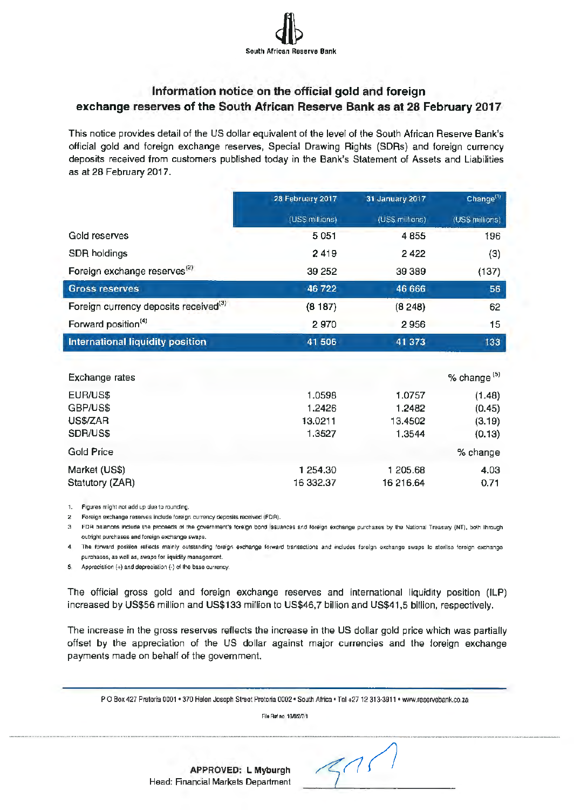

## **Information notice on the official gold and foreign exchange reserves of the South African Reserve Bank as at 28 February 2017**

This notice provides detail of the US dollar equivalent of the level of the South African Reserve Bank's official gold and foreign exchange reserves, Special Drawing Rights (SDRs) and foreign currency deposits received from customers published today in the Bank's Statement of Assets and Liabilities as at 28 February 2017.

|                                                   | 28 February 2017 | 31 January 2017 | Change <sup>(1)</sup> |
|---------------------------------------------------|------------------|-----------------|-----------------------|
|                                                   | (US\$ millions)  | (US\$ millions) | (USS millions)        |
| Gold reserves                                     | 5051             | 4 8 5 5         | 196                   |
| SDR holdings                                      | 2419             | 2422            | (3)                   |
| Foreign exchange reserves <sup>(2)</sup>          | 39 25 2          | 39 389          | (137)                 |
| <b>Gross reserves</b>                             | 46722            | 46 666          | 56                    |
| Foreign currency deposits received <sup>(3)</sup> | (8187)           | (8, 248)        | 62                    |
| Forward position <sup>(4)</sup>                   | 2970             | 2956            | 15                    |
| International liquidity position                  | 41 506           | 41 373          | 133                   |

| Exchange rates    |           |           | % change <sup>(5)</sup> |
|-------------------|-----------|-----------|-------------------------|
| EUR/US\$          | 1.0598    | 1.0757    | (1.48)                  |
| GBP/US\$          | 1.2426    | 1.2482    | (0.45)                  |
| US\$/ZAR          | 13.0211   | 13.4502   | (3.19)                  |
| SDR/US\$          | 1.3527    | 1.3544    | (0.13)                  |
| <b>Gold Price</b> |           |           | % change                |
| Market (US\$)     | 1 254.30  | 1 205.68  | 4.03                    |
| Statutory (ZAR)   | 16 332.37 | 16 216.64 | 0.71                    |

1. Figures mighl not add up due to rounding.

2. Foreign exchange reserves include foreign currency deposits received (FDA).

3. FDA balances include the proceeds ol the government's foreign bond Issuances anel foreign exchange purchases by lhe National Treasury (NTJ. both through outright purchases and foreign exchange swaps.

4. The forward position reflects mainly outstanding foreign exchange forward transactions and includes foreign exchange swaps to sterilse foreign exchange purchases, as well as, swaps for liquidity management.

 $S_1$  Appreciation  $(+)$  and depreciation  $(-)$  of the base currency.

The official gross gold and foreign exchange reserves and international liquidity position (ILP) increased by US\$56 million and US\$133 million to US\$46, 7 billion and US\$41,5 billion, respectively.

The increase in the gross reserves reflects the increase in the US dollar gold price which was partially offset by the appreciation of the US dollar against major currencies and the foreign exchange payments made on behalf of the government.